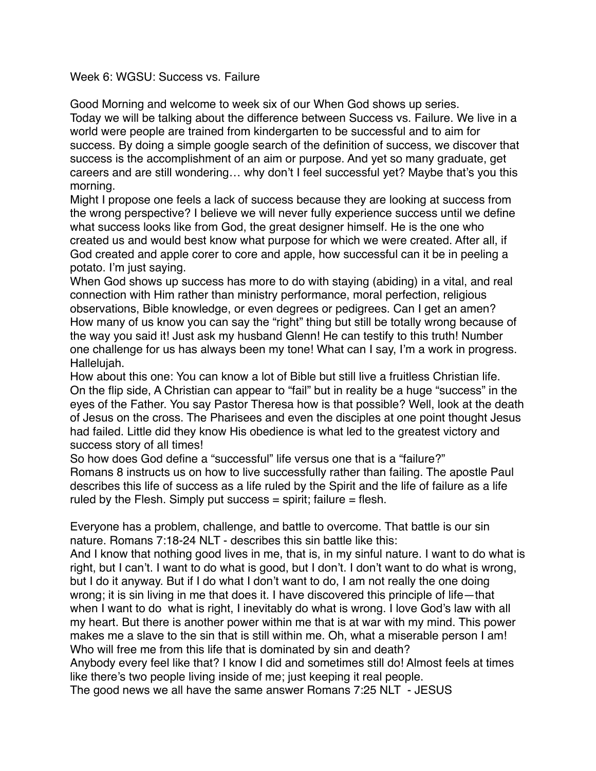## Week 6: WGSU: Success vs. Failure

Good Morning and welcome to week six of our When God shows up series.

Today we will be talking about the difference between Success vs. Failure. We live in a world were people are trained from kindergarten to be successful and to aim for success. By doing a simple google search of the definition of success, we discover that success is the accomplishment of an aim or purpose. And yet so many graduate, get careers and are still wondering… why don't I feel successful yet? Maybe that's you this morning.

Might I propose one feels a lack of success because they are looking at success from the wrong perspective? I believe we will never fully experience success until we define what success looks like from God, the great designer himself. He is the one who created us and would best know what purpose for which we were created. After all, if God created and apple corer to core and apple, how successful can it be in peeling a potato. I'm just saying.

When God shows up success has more to do with staying (abiding) in a vital, and real connection with Him rather than ministry performance, moral perfection, religious observations, Bible knowledge, or even degrees or pedigrees. Can I get an amen? How many of us know you can say the "right" thing but still be totally wrong because of the way you said it! Just ask my husband Glenn! He can testify to this truth! Number one challenge for us has always been my tone! What can I say, I'm a work in progress. Hallelujah.

How about this one: You can know a lot of Bible but still live a fruitless Christian life. On the flip side, A Christian can appear to "fail" but in reality be a huge "success" in the eyes of the Father. You say Pastor Theresa how is that possible? Well, look at the death of Jesus on the cross. The Pharisees and even the disciples at one point thought Jesus had failed. Little did they know His obedience is what led to the greatest victory and success story of all times!

So how does God define a "successful" life versus one that is a "failure?" Romans 8 instructs us on how to live successfully rather than failing. The apostle Paul describes this life of success as a life ruled by the Spirit and the life of failure as a life ruled by the Flesh. Simply put success  $=$  spirit; failure  $=$  flesh.

Everyone has a problem, challenge, and battle to overcome. That battle is our sin nature. Romans 7:18-24 NLT - describes this sin battle like this:

And I know that nothing good lives in me, that is, in my sinful nature. I want to do what is right, but I can't. I want to do what is good, but I don't. I don't want to do what is wrong, but I do it anyway. But if I do what I don't want to do, I am not really the one doing wrong; it is sin living in me that does it. I have discovered this principle of life—that when I want to do what is right, I inevitably do what is wrong. I love God's law with all my heart. But there is another power within me that is at war with my mind. This power makes me a slave to the sin that is still within me. Oh, what a miserable person I am! Who will free me from this life that is dominated by sin and death?

Anybody every feel like that? I know I did and sometimes still do! Almost feels at times like there's two people living inside of me; just keeping it real people.

The good news we all have the same answer Romans 7:25 NLT - JESUS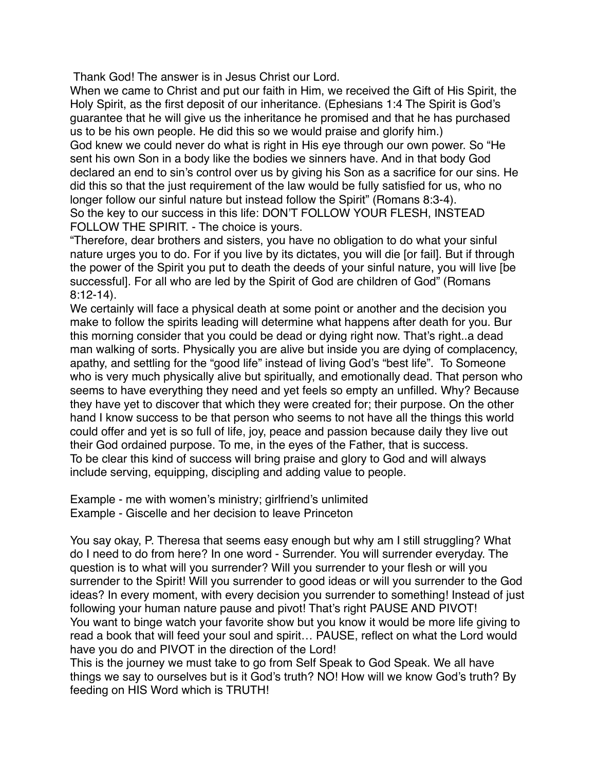Thank God! The answer is in Jesus Christ our Lord.

When we came to Christ and put our faith in Him, we received the Gift of His Spirit, the Holy Spirit, as the first deposit of our inheritance. (Ephesians 1:4 The Spirit is God's guarantee that he will give us the inheritance he promised and that he has purchased us to be his own people. He did this so we would praise and glorify him.)

God knew we could never do what is right in His eye through our own power. So "He sent his own Son in a body like the bodies we sinners have. And in that body God declared an end to sin's control over us by giving his Son as a sacrifice for our sins. He did this so that the just requirement of the law would be fully satisfied for us, who no longer follow our sinful nature but instead follow the Spirit" (Romans 8:3-4). So the key to our success in this life: DON'T FOLLOW YOUR FLESH, INSTEAD FOLLOW THE SPIRIT. - The choice is yours.

"Therefore, dear brothers and sisters, you have no obligation to do what your sinful nature urges you to do. For if you live by its dictates, you will die [or fail]. But if through the power of the Spirit you put to death the deeds of your sinful nature, you will live [be successful]. For all who are led by the Spirit of God are children of God" (Romans 8:12-14).

We certainly will face a physical death at some point or another and the decision you make to follow the spirits leading will determine what happens after death for you. Bur this morning consider that you could be dead or dying right now. That's right..a dead man walking of sorts. Physically you are alive but inside you are dying of complacency, apathy, and settling for the "good life" instead of living God's "best life". To Someone who is very much physically alive but spiritually, and emotionally dead. That person who seems to have everything they need and yet feels so empty an unfilled. Why? Because they have yet to discover that which they were created for; their purpose. On the other hand I know success to be that person who seems to not have all the things this world could offer and yet is so full of life, joy, peace and passion because daily they live out their God ordained purpose. To me, in the eyes of the Father, that is success. To be clear this kind of success will bring praise and glory to God and will always include serving, equipping, discipling and adding value to people.

Example - me with women's ministry; girlfriend's unlimited Example - Giscelle and her decision to leave Princeton

You say okay, P. Theresa that seems easy enough but why am I still struggling? What do I need to do from here? In one word - Surrender. You will surrender everyday. The question is to what will you surrender? Will you surrender to your flesh or will you surrender to the Spirit! Will you surrender to good ideas or will you surrender to the God ideas? In every moment, with every decision you surrender to something! Instead of just following your human nature pause and pivot! That's right PAUSE AND PIVOT! You want to binge watch your favorite show but you know it would be more life giving to read a book that will feed your soul and spirit… PAUSE, reflect on what the Lord would have you do and PIVOT in the direction of the Lord!

This is the journey we must take to go from Self Speak to God Speak. We all have things we say to ourselves but is it God's truth? NO! How will we know God's truth? By feeding on HIS Word which is TRUTH!